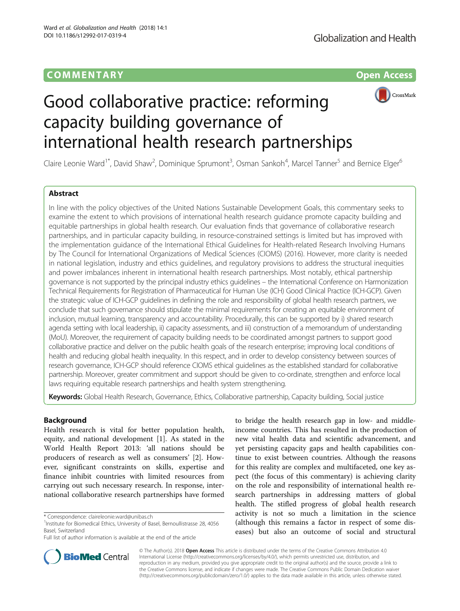# COMM EN TARY Open Access



# Good collaborative practice: reforming capacity building governance of international health research partnerships

Claire Leonie Ward<sup>1\*</sup>, David Shaw<sup>2</sup>, Dominique Sprumont<sup>3</sup>, Osman Sankoh<sup>4</sup>, Marcel Tanner<sup>5</sup> and Bernice Elger<sup>6</sup>

# Abstract

In line with the policy objectives of the United Nations Sustainable Development Goals, this commentary seeks to examine the extent to which provisions of international health research guidance promote capacity building and equitable partnerships in global health research. Our evaluation finds that governance of collaborative research partnerships, and in particular capacity building, in resource-constrained settings is limited but has improved with the implementation guidance of the International Ethical Guidelines for Health-related Research Involving Humans by The Council for International Organizations of Medical Sciences (CIOMS) (2016). However, more clarity is needed in national legislation, industry and ethics guidelines, and regulatory provisions to address the structural inequities and power imbalances inherent in international health research partnerships. Most notably, ethical partnership governance is not supported by the principal industry ethics guidelines – the International Conference on Harmonization Technical Requirements for Registration of Pharmaceutical for Human Use (ICH) Good Clinical Practice (ICH-GCP). Given the strategic value of ICH-GCP guidelines in defining the role and responsibility of global health research partners, we conclude that such governance should stipulate the minimal requirements for creating an equitable environment of inclusion, mutual learning, transparency and accountability. Procedurally, this can be supported by i) shared research agenda setting with local leadership, ii) capacity assessments, and iii) construction of a memorandum of understanding (MoU). Moreover, the requirement of capacity building needs to be coordinated amongst partners to support good collaborative practice and deliver on the public health goals of the research enterprise; improving local conditions of health and reducing global health inequality. In this respect, and in order to develop consistency between sources of research governance, ICH-GCP should reference CIOMS ethical guidelines as the established standard for collaborative partnership. Moreover, greater commitment and support should be given to co-ordinate, strengthen and enforce local laws requiring equitable research partnerships and health system strengthening.

Keywords: Global Health Research, Governance, Ethics, Collaborative partnership, Capacity building, Social justice

# Background

Health research is vital for better population health, equity, and national development [\[1](#page-4-0)]. As stated in the World Health Report 2013: 'all nations should be producers of research as well as consumers' [[2\]](#page-4-0). However, significant constraints on skills, expertise and finance inhibit countries with limited resources from carrying out such necessary research. In response, international collaborative research partnerships have formed

to bridge the health research gap in low- and middleincome countries. This has resulted in the production of new vital health data and scientific advancement, and yet persisting capacity gaps and health capabilities continue to exist between countries. Although the reasons for this reality are complex and multifaceted, one key aspect (the focus of this commentary) is achieving clarity on the role and responsibility of international health research partnerships in addressing matters of global health. The stifled progress of global health research activity is not so much a limitation in the science (although this remains a factor in respect of some diseases) but also an outcome of social and structural



© The Author(s). 2018 Open Access This article is distributed under the terms of the Creative Commons Attribution 4.0 International License [\(http://creativecommons.org/licenses/by/4.0/](http://creativecommons.org/licenses/by/4.0/)), which permits unrestricted use, distribution, and reproduction in any medium, provided you give appropriate credit to the original author(s) and the source, provide a link to the Creative Commons license, and indicate if changes were made. The Creative Commons Public Domain Dedication waiver [\(http://creativecommons.org/publicdomain/zero/1.0/](http://creativecommons.org/publicdomain/zero/1.0/)) applies to the data made available in this article, unless otherwise stated.

<sup>\*</sup> Correspondence: [claireleonie.ward@unibas.ch](mailto:claireleonie.ward@unibas.ch) <sup>1</sup>

<sup>&</sup>lt;sup>1</sup> Institute for Biomedical Ethics, University of Basel, Bernoullistrasse 28, 4056 Basel, Switzerland

Full list of author information is available at the end of the article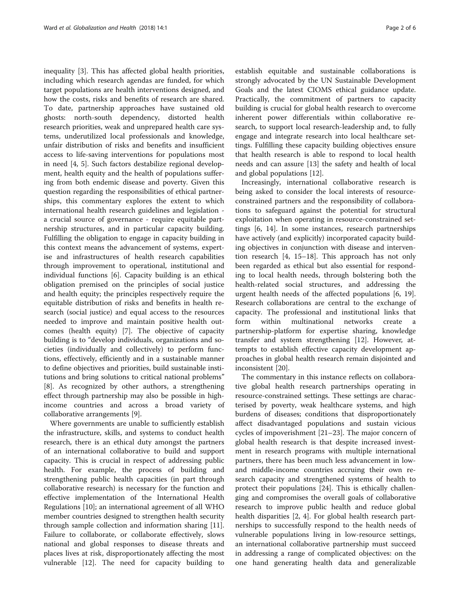inequality [[3\]](#page-4-0). This has affected global health priorities, including which research agendas are funded, for which target populations are health interventions designed, and how the costs, risks and benefits of research are shared. To date, partnership approaches have sustained old ghosts: north-south dependency, distorted health research priorities, weak and unprepared health care systems, underutilized local professionals and knowledge, unfair distribution of risks and benefits and insufficient access to life-saving interventions for populations most in need [\[4](#page-4-0), [5\]](#page-4-0). Such factors destabilize regional development, health equity and the health of populations suffering from both endemic disease and poverty. Given this question regarding the responsibilities of ethical partnerships, this commentary explores the extent to which international health research guidelines and legislation a crucial source of governance - require equitable partnership structures, and in particular capacity building. Fulfilling the obligation to engage in capacity building in this context means the advancement of systems, expertise and infrastructures of health research capabilities through improvement to operational, institutional and individual functions [[6\]](#page-4-0). Capacity building is an ethical obligation premised on the principles of social justice and health equity; the principles respectively require the equitable distribution of risks and benefits in health research (social justice) and equal access to the resources needed to improve and maintain positive health outcomes (health equity) [\[7](#page-4-0)]. The objective of capacity building is to "develop individuals, organizations and societies (individually and collectively) to perform functions, effectively, efficiently and in a sustainable manner to define objectives and priorities, build sustainable institutions and bring solutions to critical national problems" [[8\]](#page-4-0). As recognized by other authors, a strengthening effect through partnership may also be possible in highincome countries and across a broad variety of collaborative arrangements [\[9](#page-4-0)].

Where governments are unable to sufficiently establish the infrastructure, skills, and systems to conduct health research, there is an ethical duty amongst the partners of an international collaborative to build and support capacity. This is crucial in respect of addressing public health. For example, the process of building and strengthening public health capacities (in part through collaborative research) is necessary for the function and effective implementation of the International Health Regulations [\[10](#page-4-0)]; an international agreement of all WHO member countries designed to strengthen health security through sample collection and information sharing [\[11](#page-4-0)]. Failure to collaborate, or collaborate effectively, slows national and global responses to disease threats and places lives at risk, disproportionately affecting the most vulnerable [[12](#page-5-0)]. The need for capacity building to establish equitable and sustainable collaborations is strongly advocated by the UN Sustainable Development Goals and the latest CIOMS ethical guidance update. Practically, the commitment of partners to capacity building is crucial for global health research to overcome inherent power differentials within collaborative research, to support local research-leadership and, to fully engage and integrate research into local healthcare settings. Fulfilling these capacity building objectives ensure that health research is able to respond to local health needs and can assure [\[13](#page-5-0)] the safety and health of local and global populations [\[12\]](#page-5-0).

Increasingly, international collaborative research is being asked to consider the local interests of resourceconstrained partners and the responsibility of collaborations to safeguard against the potential for structural exploitation when operating in resource-constrained settings [\[6](#page-4-0), [14](#page-5-0)]. In some instances, research partnerships have actively (and explicitly) incorporated capacity building objectives in conjunction with disease and intervention research [[4,](#page-4-0) [15](#page-5-0)–[18](#page-5-0)]. This approach has not only been regarded as ethical but also essential for responding to local health needs, through bolstering both the health-related social structures, and addressing the urgent health needs of the affected populations [\[6](#page-4-0), [19](#page-5-0)]. Research collaborations are central to the exchange of capacity. The professional and institutional links that form within multinational networks create a partnership-platform for expertise sharing, knowledge transfer and system strengthening [\[12](#page-5-0)]. However, attempts to establish effective capacity development approaches in global health research remain disjointed and inconsistent [[20\]](#page-5-0).

The commentary in this instance reflects on collaborative global health research partnerships operating in resource-constrained settings. These settings are characterised by poverty, weak healthcare systems, and high burdens of diseases; conditions that disproportionately affect disadvantaged populations and sustain vicious cycles of impoverishment [\[21](#page-5-0)–[23\]](#page-5-0). The major concern of global health research is that despite increased investment in research programs with multiple international partners, there has been much less advancement in lowand middle-income countries accruing their own research capacity and strengthened systems of health to protect their populations [\[24](#page-5-0)]. This is ethically challenging and compromises the overall goals of collaborative research to improve public health and reduce global health disparities [[2, 4](#page-4-0)]. For global health research partnerships to successfully respond to the health needs of vulnerable populations living in low-resource settings, an international collaborative partnership must succeed in addressing a range of complicated objectives: on the one hand generating health data and generalizable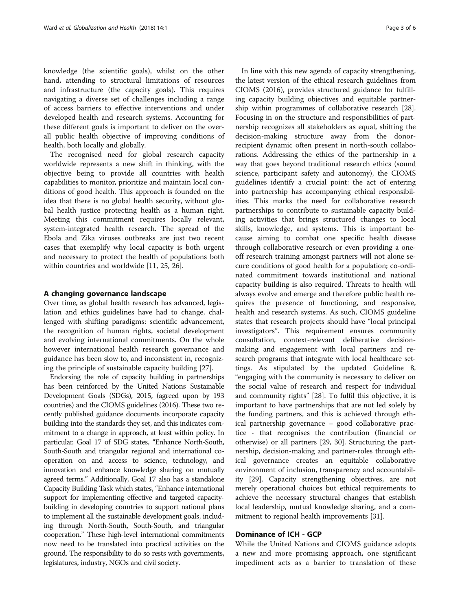knowledge (the scientific goals), whilst on the other hand, attending to structural limitations of resources and infrastructure (the capacity goals). This requires navigating a diverse set of challenges including a range of access barriers to effective interventions and under developed health and research systems. Accounting for these different goals is important to deliver on the overall public health objective of improving conditions of health, both locally and globally.

The recognised need for global research capacity worldwide represents a new shift in thinking, with the objective being to provide all countries with health capabilities to monitor, prioritize and maintain local conditions of good health. This approach is founded on the idea that there is no global health security, without global health justice protecting health as a human right. Meeting this commitment requires locally relevant, system-integrated health research. The spread of the Ebola and Zika viruses outbreaks are just two recent cases that exemplify why local capacity is both urgent and necessary to protect the health of populations both within countries and worldwide [[11,](#page-4-0) [25, 26](#page-5-0)].

## A changing governance landscape

Over time, as global health research has advanced, legislation and ethics guidelines have had to change, challenged with shifting paradigms: scientific advancement, the recognition of human rights, societal development and evolving international commitments. On the whole however international health research governance and guidance has been slow to, and inconsistent in, recognizing the principle of sustainable capacity building [\[27](#page-5-0)].

Endorsing the role of capacity building in partnerships has been reinforced by the United Nations Sustainable Development Goals (SDGs), 2015, (agreed upon by 193 countries) and the CIOMS guidelines (2016). These two recently published guidance documents incorporate capacity building into the standards they set, and this indicates commitment to a change in approach, at least within policy. In particular, Goal 17 of SDG states, "Enhance North-South, South-South and triangular regional and international cooperation on and access to science, technology, and innovation and enhance knowledge sharing on mutually agreed terms." Additionally, Goal 17 also has a standalone Capacity Building Task which states, "Enhance international support for implementing effective and targeted capacitybuilding in developing countries to support national plans to implement all the sustainable development goals, including through North-South, South-South, and triangular cooperation." These high-level international commitments now need to be translated into practical activities on the ground. The responsibility to do so rests with governments, legislatures, industry, NGOs and civil society.

In line with this new agenda of capacity strengthening, the latest version of the ethical research guidelines from CIOMS (2016), provides structured guidance for fulfilling capacity building objectives and equitable partnership within programmes of collaborative research [\[28](#page-5-0)]. Focusing in on the structure and responsibilities of partnership recognizes all stakeholders as equal, shifting the decision-making structure away from the donorrecipient dynamic often present in north-south collaborations. Addressing the ethics of the partnership in a way that goes beyond traditional research ethics (sound science, participant safety and autonomy), the CIOMS guidelines identify a crucial point: the act of entering into partnership has accompanying ethical responsibilities. This marks the need for collaborative research partnerships to contribute to sustainable capacity building activities that brings structured changes to local skills, knowledge, and systems. This is important because aiming to combat one specific health disease through collaborative research or even providing a oneoff research training amongst partners will not alone secure conditions of good health for a population; co-ordinated commitment towards institutional and national capacity building is also required. Threats to health will always evolve and emerge and therefore public health requires the presence of functioning, and responsive, health and research systems. As such, CIOMS guideline states that research projects should have "local principal investigators". This requirement ensures community consultation, context-relevant deliberative decisionmaking and engagement with local partners and research programs that integrate with local healthcare settings. As stipulated by the updated Guideline 8, "engaging with the community is necessary to deliver on the social value of research and respect for individual and community rights" [[28\]](#page-5-0). To fulfil this objective, it is important to have partnerships that are not led solely by the funding partners, and this is achieved through ethical partnership governance – good collaborative practice - that recognises the contribution (financial or otherwise) or all partners [\[29](#page-5-0), [30\]](#page-5-0). Structuring the partnership, decision-making and partner-roles through ethical governance creates an equitable collaborative environment of inclusion, transparency and accountability [[29](#page-5-0)]. Capacity strengthening objectives, are not merely operational choices but ethical requirements to achieve the necessary structural changes that establish local leadership, mutual knowledge sharing, and a commitment to regional health improvements [[31](#page-5-0)].

## Dominance of ICH - GCP

While the United Nations and CIOMS guidance adopts a new and more promising approach, one significant impediment acts as a barrier to translation of these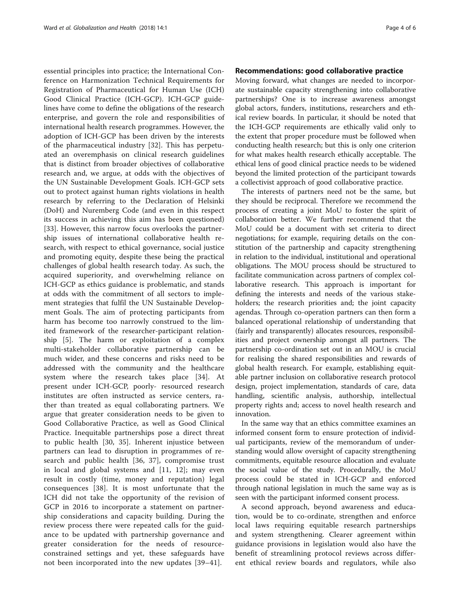essential principles into practice; the International Conference on Harmonization Technical Requirements for Registration of Pharmaceutical for Human Use (ICH) Good Clinical Practice (ICH-GCP). ICH-GCP guidelines have come to define the obligations of the research enterprise, and govern the role and responsibilities of international health research programmes. However, the adoption of ICH-GCP has been driven by the interests of the pharmaceutical industry [\[32](#page-5-0)]. This has perpetuated an overemphasis on clinical research guidelines that is distinct from broader objectives of collaborative research and, we argue, at odds with the objectives of the UN Sustainable Development Goals. ICH-GCP sets out to protect against human rights violations in health research by referring to the Declaration of Helsinki (DoH) and Nuremberg Code (and even in this respect its success in achieving this aim has been questioned) [[33\]](#page-5-0). However, this narrow focus overlooks the partnership issues of international collaborative health research, with respect to ethical governance, social justice and promoting equity, despite these being the practical challenges of global health research today. As such, the acquired superiority, and overwhelming reliance on ICH-GCP as ethics guidance is problematic, and stands at odds with the commitment of all sectors to implement strategies that fulfil the UN Sustainable Development Goals. The aim of protecting participants from harm has become too narrowly construed to the limited framework of the researcher-participant relationship [\[5](#page-4-0)]. The harm or exploitation of a complex multi-stakeholder collaborative partnership can be much wider, and these concerns and risks need to be addressed with the community and the healthcare system where the research takes place [\[34](#page-5-0)]. At present under ICH-GCP, poorly- resourced research institutes are often instructed as service centers, rather than treated as equal collaborating partners. We argue that greater consideration needs to be given to Good Collaborative Practice, as well as Good Clinical Practice. Inequitable partnerships pose a direct threat to public health [[30, 35\]](#page-5-0). Inherent injustice between partners can lead to disruption in programmes of research and public health [\[36](#page-5-0), [37\]](#page-5-0), compromise trust in local and global systems and [\[11,](#page-4-0) [12](#page-5-0)]; may even result in costly (time, money and reputation) legal consequences [[38](#page-5-0)]. It is most unfortunate that the ICH did not take the opportunity of the revision of GCP in 2016 to incorporate a statement on partnership considerations and capacity building. During the review process there were repeated calls for the guidance to be updated with partnership governance and greater consideration for the needs of resourceconstrained settings and yet, these safeguards have not been incorporated into the new updates [\[39](#page-5-0)–[41\]](#page-5-0).

# Recommendations: good collaborative practice

Moving forward, what changes are needed to incorporate sustainable capacity strengthening into collaborative partnerships? One is to increase awareness amongst global actors, funders, institutions, researchers and ethical review boards. In particular, it should be noted that the ICH-GCP requirements are ethically valid only to the extent that proper procedure must be followed when conducting health research; but this is only one criterion for what makes health research ethically acceptable. The ethical lens of good clinical practice needs to be widened beyond the limited protection of the participant towards a collectivist approach of good collaborative practice.

The interests of partners need not be the same, but they should be reciprocal. Therefore we recommend the process of creating a joint MoU to foster the spirit of collaboration better. We further recommend that the MoU could be a document with set criteria to direct negotiations; for example, requiring details on the constitution of the partnership and capacity strengthening in relation to the individual, institutional and operational obligations. The MOU process should be structured to facilitate communication across partners of complex collaborative research. This approach is important for defining the interests and needs of the various stakeholders; the research priorities and; the joint capacity agendas. Through co-operation partners can then form a balanced operational relationship of understanding that (fairly and transparently) allocates resources, responsibilities and project ownership amongst all partners. The partnership co-ordination set out in an MOU is crucial for realising the shared responsibilities and rewards of global health research. For example, establishing equitable partner inclusion on collaborative research protocol design, project implementation, standards of care, data handling, scientific analysis, authorship, intellectual property rights and; access to novel health research and innovation.

In the same way that an ethics committee examines an informed consent form to ensure protection of individual participants, review of the memorandum of understanding would allow oversight of capacity strengthening commitments, equitable resource allocation and evaluate the social value of the study. Procedurally, the MoU process could be stated in ICH-GCP and enforced through national legislation in much the same way as is seen with the participant informed consent process.

A second approach, beyond awareness and education, would be to co-ordinate, strengthen and enforce local laws requiring equitable research partnerships and system strengthening. Clearer agreement within guidance provisions in legislation would also have the benefit of streamlining protocol reviews across different ethical review boards and regulators, while also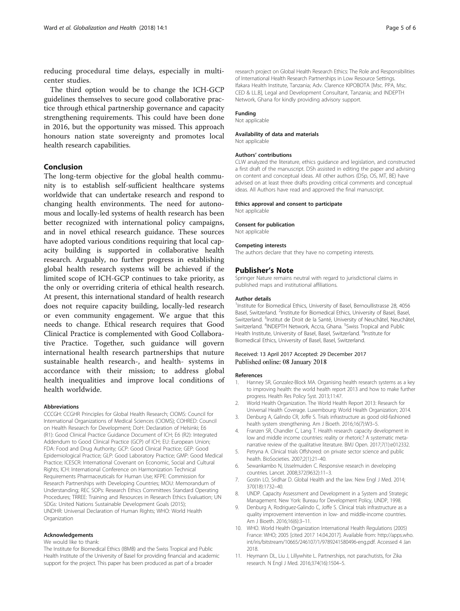<span id="page-4-0"></span>reducing procedural time delays, especially in multicenter studies.

The third option would be to change the ICH-GCP guidelines themselves to secure good collaborative practice through ethical partnership governance and capacity strengthening requirements. This could have been done in 2016, but the opportunity was missed. This approach honours nation state sovereignty and promotes local health research capabilities.

# Conclusion

The long-term objective for the global health community is to establish self-sufficient healthcare systems worldwide that can undertake research and respond to changing health environments. The need for autonomous and locally-led systems of health research has been better recognized with international policy campaigns, and in novel ethical research guidance. These sources have adopted various conditions requiring that local capacity building is supported in collaborative health research. Arguably, no further progress in establishing global health research systems will be achieved if the limited scope of ICH-GCP continues to take priority, as the only or overriding criteria of ethical health research. At present, this international standard of health research does not require capacity building, locally-led research or even community engagement. We argue that this needs to change. Ethical research requires that Good Clinical Practice is complemented with Good Collaborative Practice. Together, such guidance will govern international health research partnerships that nuture sustainable health research-, and health- systems in accordance with their mission; to address global health inequalities and improve local conditions of health worldwide.

#### Abbreviations

CCCGH: CCGHR Principles for Global Health Research; CIOMS: Council for International Organizations of Medical Sciences (CIOMS); COHRED: Council on Health Research for Development; DoH: Declaration of Helsinki; E6 (R1): Good Clinical Practice Guidance Document of ICH; E6 (R2): Integrated Addendum to Good Clinical Practice (GCP) of ICH; EU: European Union; FDA: Food and Drug Authority; GCP: Good Clinical Practice; GEP: Good Epidemiological Practice; GLP: Good Laboratory Practice; GMP: Good Medical Practice; ICESCR: International Covenant on Economic, Social and Cultural Rights; ICH: International Conference on Harmonization Technical Requirements Pharmaceuticals for Human Use; KFPE: Commission for Research Partnerships with Developing Countries; MOU: Memorandum of Understanding; REC SOPs: Research Ethics Committees Standard Operating Procedures; TRREE: Training and Resources in Research Ethics Evaluation; UN SDGs: United Nations Sustainable Development Goals (2015); UNDHR: Universal Declaration of Human Rights; WHO: World Health Organization

#### Acknowledgements

#### We would like to thank:

The Institute for Biomedical Ethics (IBMB) and the Swiss Tropical and Public Health Institute of the University of Basel for providing financial and academic support for the project. This paper has been produced as part of a broader

research project on Global Health Research Ethics: The Role and Responsibilities of International Health Research Partnerships in Low Resource Settings. Ifakara Health Institute, Tanzania; Adv. Clarence KIPOBOTA [Msc. PPA, Msc. CED & LL.B], Legal and Development Consultant, Tanzania; and INDEPTH Network, Ghana for kindly providing advisory support.

## Funding

Not applicable

#### Availability of data and materials

Not applicable

### Authors' contributions

CLW analyzed the literature, ethics guidance and legislation, and constructed a first draft of the manuscript. DSh assisted in editing the paper and advising on content and conceptual ideas. All other authors (DSp, OS, MT, BE) have advised on at least three drafts providing critical comments and conceptual ideas. All Authors have read and approved the final manuscript.

#### Ethics approval and consent to participate

Not applicable

#### Consent for publication

Not applicable

#### Competing interests

The authors declare that they have no competing interests.

#### Publisher's Note

Springer Nature remains neutral with regard to jurisdictional claims in published maps and institutional affiliations.

#### Author details

<sup>1</sup>Institute for Biomedical Ethics, University of Basel, Bernoullistrasse 28, 4056 Basel, Switzerland. <sup>2</sup>Institute for Biomedical Ethics, University of Basel, Basel Switzerland. <sup>3</sup>Institut de Droit de la Santé, University of Neuchâtel, Neuchâtel, Switzerland. <sup>4</sup>INDEPTH Network, Accra, Ghana. <sup>5</sup>Swiss Tropical and Public Health Institute, University of Basel, Basel, Switzerland. <sup>6</sup>Institute for Biomedical Ethics, University of Basel, Basel, Switzerland.

## Received: 13 April 2017 Accepted: 29 December 2017 Published online: 08 January 2018

#### References

- 1. Hanney SR, Gonzalez-Block MA. Organising health research systems as a key to improving health: the world health report 2013 and how to make further progress. Health Res Policy Syst. 2013;11:47.
- 2. World Health Organization. The World Health Report 2013: Research for Universal Health Coverage. Luxembourg: World Health Organization; 2014.
- 3. Denburg A, Galindo CR, Joffe S. Trials infrastructure as good old-fashioned health system strengthening. Am J Bioeth. 2016;16(7):W3–5.
- 4. Franzen SR, Chandler C, Lang T. Health research capacity development in low and middle income countries: reality or rhetoric? A systematic metanarrative review of the qualitative literature. BMJ Open. 2017;7(1):e012332.
- Petryna A. Clinical trials Offshored: on private sector science and public health. BioSocieties. 2007;2(1):21–40.
- 6. Sewankambo N, IJsselmuiden C. Responsive research in developing countries. Lancet. 2008;372(9632):11–3.
- 7. Gostin LO, Sridhar D. Global Health and the law. New Engl J Med. 2014; 370(18):1732–40.
- 8. UNDP. Capacity Assessment and Development in a System and Strategic Management. New York: Bureau for Development Policy, UNDP, 1998.
- 9. Denburg A, Rodriguez-Galindo C, Joffe S. Clinical trials infrastructure as a quality improvement intervention in low- and middle-income countries. Am J Bioeth. 2016;16(6):3–11.
- 10. WHO. World Health Organization International Health Regulations (2005) France: WHO; 2005 [cited 2017 14.04.2017]. Available from: [http://apps.who.](http://apps.who.int/iris/bitstream/10665/246107/1/9789241580496-eng.pdf) [int/iris/bitstream/10665/246107/1/9789241580496-eng.pdf](http://apps.who.int/iris/bitstream/10665/246107/1/9789241580496-eng.pdf). Accessed 4 Jan 2018.
- 11. Heymann DL, Liu J, Lillywhite L. Partnerships, not parachutists, for Zika research. N Engl J Med. 2016;374(16):1504–5.